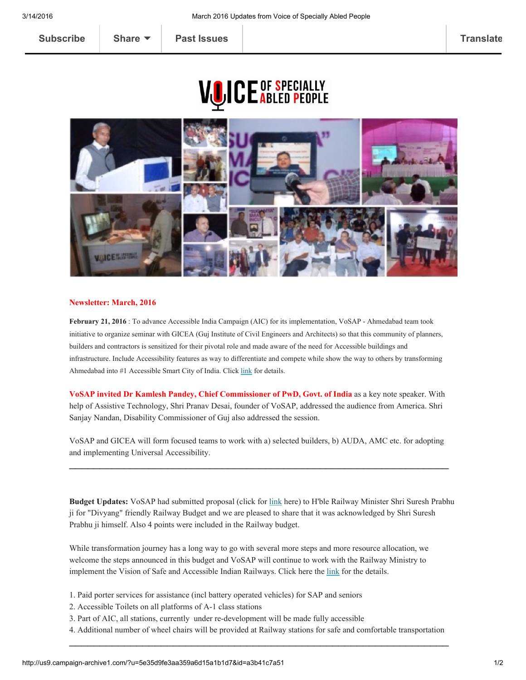## **CE** OF SPECIALLY<br>U**la**bled People



## Newsletter: March, 2016

February 21, 2016 : To advance Accessible India Campaign (AIC) for its implementation, VoSAP - Ahmedabad team took initiative to organize seminar with GICEA (Guj Institute of Civil Engineers and Architects) so that this community of planners, builders and contractors is sensitized for their pivotal role and made aware of the need for Accessible buildings and infrastructure. Include Accessibility features as way to differentiate and compete while show the way to others by transforming Ahmedabad into #1 Accessible Smart City of India. Click [link](http://voiceofsap.com/initiative/vosap-with-gicea-to-promote-accessible-smart-cities-in-gujarat/) for details.

VoSAP invited Dr Kamlesh Pandey, Chief Commissioner of PwD, Govt. of India as a key note speaker. With help of Assistive Technology, Shri Pranav Desai, founder of VoSAP, addressed the audience from America. Shri Sanjay Nandan, Disability Commissioner of Guj also addressed the session.

VoSAP and GICEA will form focused teams to work with a) selected builders, b) AUDA, AMC etc. for adopting and implementing Universal Accessibility.

 $\mathcal{L}_\text{G} = \{ \mathcal{L}_\text{G} = \{ \mathcal{L}_\text{G} = \{ \mathcal{L}_\text{G} = \{ \mathcal{L}_\text{G} = \{ \mathcal{L}_\text{G} = \{ \mathcal{L}_\text{G} = \{ \mathcal{L}_\text{G} = \{ \mathcal{L}_\text{G} = \{ \mathcal{L}_\text{G} = \{ \mathcal{L}_\text{G} = \{ \mathcal{L}_\text{G} = \{ \mathcal{L}_\text{G} = \{ \mathcal{L}_\text{G} = \{ \mathcal{L}_\text{G} = \{ \mathcal{L}_\text{G$ 

Budget Updates: VoSAP had submitted proposal (click for [link](http://voiceofsap.com/news/railway-budget-2016-10-suggestions-from-voice-of-sap/) here) to H'ble Railway Minister Shri Suresh Prabhu ji for "Divyang" friendly Railway Budget and we are pleased to share that it was acknowledged by Shri Suresh Prabhu ji himself. Also 4 points were included in the Railway budget.

While transformation journey has a long way to go with several more steps and more resource allocation, we welcome the steps announced in this budget and VoSAP will continue to work with the Railway Ministry to implement the Vision of Safe and Accessible Indian Railways. Click here the [link](http://voiceofsap.com/news/vosap-hails-divyang-friendly-railway-budget/) for the details.

- 1. Paid porter services for assistance (incl battery operated vehicles) for SAP and seniors
- 2. Accessible Toilets on all platforms of A-1 class stations
- 3. Part of AIC, all stations, currently under redevelopment will be made fully accessible
- 4. Additional number of wheel chairs will be provided at Railway stations for safe and comfortable transportation  $\mathcal{L}_\text{G} = \{ \mathcal{L}_\text{G} = \{ \mathcal{L}_\text{G} = \{ \mathcal{L}_\text{G} = \{ \mathcal{L}_\text{G} = \{ \mathcal{L}_\text{G} = \{ \mathcal{L}_\text{G} = \{ \mathcal{L}_\text{G} = \{ \mathcal{L}_\text{G} = \{ \mathcal{L}_\text{G} = \{ \mathcal{L}_\text{G} = \{ \mathcal{L}_\text{G} = \{ \mathcal{L}_\text{G} = \{ \mathcal{L}_\text{G} = \{ \mathcal{L}_\text{G} = \{ \mathcal{L}_\text{G$